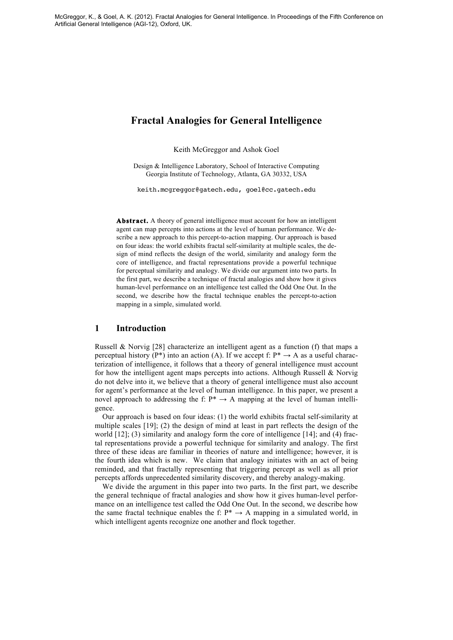# **Fractal Analogies for General Intelligence**

Keith McGreggor and Ashok Goel

Design & Intelligence Laboratory, School of Interactive Computing Georgia Institute of Technology, Atlanta, GA 30332, USA

keith.mcgreggor@gatech.edu, goel@cc.gatech.edu

**Abstract.** A theory of general intelligence must account for how an intelligent agent can map percepts into actions at the level of human performance. We describe a new approach to this percept-to-action mapping. Our approach is based on four ideas: the world exhibits fractal self-similarity at multiple scales, the design of mind reflects the design of the world, similarity and analogy form the core of intelligence, and fractal representations provide a powerful technique for perceptual similarity and analogy. We divide our argument into two parts. In the first part, we describe a technique of fractal analogies and show how it gives human-level performance on an intelligence test called the Odd One Out. In the second, we describe how the fractal technique enables the percept-to-action mapping in a simple, simulated world.

## **1 Introduction**

Russell & Norvig [28] characterize an intelligent agent as a function (f) that maps a perceptual history (P\*) into an action (A). If we accept f:  $P^* \rightarrow A$  as a useful characterization of intelligence, it follows that a theory of general intelligence must account for how the intelligent agent maps percepts into actions. Although Russell & Norvig do not delve into it, we believe that a theory of general intelligence must also account for agent's performance at the level of human intelligence. In this paper, we present a novel approach to addressing the f:  $P^* \rightarrow A$  mapping at the level of human intelligence.

Our approach is based on four ideas: (1) the world exhibits fractal self-similarity at multiple scales [19]; (2) the design of mind at least in part reflects the design of the world [12]; (3) similarity and analogy form the core of intelligence [14]; and (4) fractal representations provide a powerful technique for similarity and analogy. The first three of these ideas are familiar in theories of nature and intelligence; however, it is the fourth idea which is new. We claim that analogy initiates with an act of being reminded, and that fractally representing that triggering percept as well as all prior percepts affords unprecedented similarity discovery, and thereby analogy-making.

We divide the argument in this paper into two parts. In the first part, we describe the general technique of fractal analogies and show how it gives human-level performance on an intelligence test called the Odd One Out. In the second, we describe how the same fractal technique enables the f:  $P^* \rightarrow A$  mapping in a simulated world, in which intelligent agents recognize one another and flock together.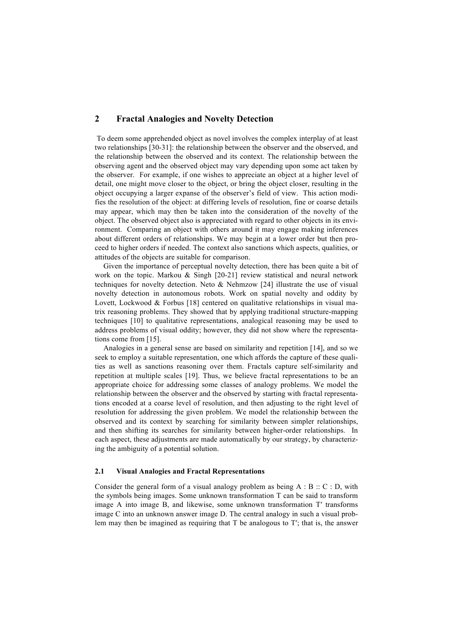## **2 Fractal Analogies and Novelty Detection**

To deem some apprehended object as novel involves the complex interplay of at least two relationships [30-31]: the relationship between the observer and the observed, and the relationship between the observed and its context. The relationship between the observing agent and the observed object may vary depending upon some act taken by the observer. For example, if one wishes to appreciate an object at a higher level of detail, one might move closer to the object, or bring the object closer, resulting in the object occupying a larger expanse of the observer's field of view. This action modifies the resolution of the object: at differing levels of resolution, fine or coarse details may appear, which may then be taken into the consideration of the novelty of the object. The observed object also is appreciated with regard to other objects in its environment. Comparing an object with others around it may engage making inferences about different orders of relationships. We may begin at a lower order but then proceed to higher orders if needed. The context also sanctions which aspects, qualities, or attitudes of the objects are suitable for comparison.

Given the importance of perceptual novelty detection, there has been quite a bit of work on the topic. Markou  $&$  Singh [20-21] review statistical and neural network techniques for novelty detection. Neto & Nehmzow [24] illustrate the use of visual novelty detection in autonomous robots. Work on spatial novelty and oddity by Lovett, Lockwood & Forbus [18] centered on qualitative relationships in visual matrix reasoning problems. They showed that by applying traditional structure-mapping techniques [10] to qualitative representations, analogical reasoning may be used to address problems of visual oddity; however, they did not show where the representations come from [15].

Analogies in a general sense are based on similarity and repetition [14], and so we seek to employ a suitable representation, one which affords the capture of these qualities as well as sanctions reasoning over them. Fractals capture self-similarity and repetition at multiple scales [19]. Thus, we believe fractal representations to be an appropriate choice for addressing some classes of analogy problems. We model the relationship between the observer and the observed by starting with fractal representations encoded at a coarse level of resolution, and then adjusting to the right level of resolution for addressing the given problem. We model the relationship between the observed and its context by searching for similarity between simpler relationships, and then shifting its searches for similarity between higher-order relationships. In each aspect, these adjustments are made automatically by our strategy, by characterizing the ambiguity of a potential solution.

#### **2.1 Visual Analogies and Fractal Representations**

Consider the general form of a visual analogy problem as being  $A : B :: C : D$ , with the symbols being images. Some unknown transformation T can be said to transform image A into image B, and likewise, some unknown transformation T′ transforms image C into an unknown answer image D. The central analogy in such a visual problem may then be imagined as requiring that T be analogous to T′; that is, the answer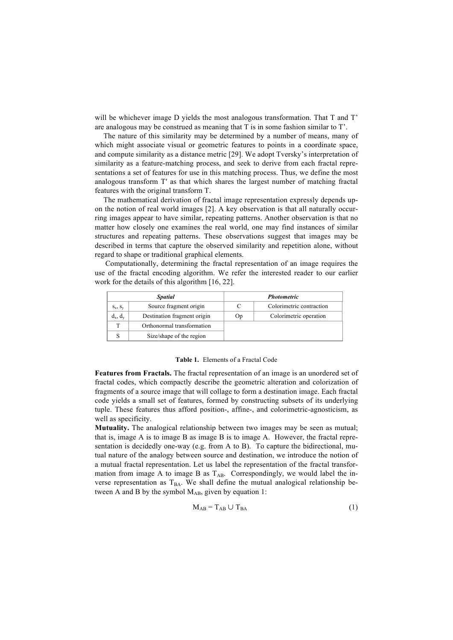will be whichever image D yields the most analogous transformation. That T and T' are analogous may be construed as meaning that T is in some fashion similar to T'.

The nature of this similarity may be determined by a number of means, many of which might associate visual or geometric features to points in a coordinate space, and compute similarity as a distance metric [29]. We adopt Tversky's interpretation of similarity as a feature-matching process, and seek to derive from each fractal representations a set of features for use in this matching process. Thus, we define the most analogous transform T′ as that which shares the largest number of matching fractal features with the original transform T.

The mathematical derivation of fractal image representation expressly depends upon the notion of real world images [2]. A key observation is that all naturally occurring images appear to have similar, repeating patterns. Another observation is that no matter how closely one examines the real world, one may find instances of similar structures and repeating patterns. These observations suggest that images may be described in terms that capture the observed similarity and repetition alone, without regard to shape or traditional graphical elements.

Computationally, determining the fractal representation of an image requires the use of the fractal encoding algorithm. We refer the interested reader to our earlier work for the details of this algorithm [16, 22].

|               | <b>Spatial</b>              | <i>Photometric</i> |                          |  |  |
|---------------|-----------------------------|--------------------|--------------------------|--|--|
| $S_x$ , $S_y$ | Source fragment origin      |                    | Colorimetric contraction |  |  |
| $d_x$ , $d_y$ | Destination fragment origin | Оp                 | Colorimetric operation   |  |  |
|               | Orthonormal transformation  |                    |                          |  |  |
|               | Size/shape of the region    |                    |                          |  |  |

**Table 1.** Elements of a Fractal Code

**Features from Fractals.** The fractal representation of an image is an unordered set of fractal codes, which compactly describe the geometric alteration and colorization of fragments of a source image that will collage to form a destination image. Each fractal code yields a small set of features, formed by constructing subsets of its underlying tuple. These features thus afford position-, affine-, and colorimetric-agnosticism, as well as specificity.

**Mutuality.** The analogical relationship between two images may be seen as mutual; that is, image A is to image B as image B is to image A. However, the fractal representation is decidedly one-way (e.g. from A to B). To capture the bidirectional, mutual nature of the analogy between source and destination, we introduce the notion of a mutual fractal representation. Let us label the representation of the fractal transformation from image A to image B as  $T_{AB}$ . Correspondingly, we would label the inverse representation as  $T<sub>BA</sub>$ . We shall define the mutual analogical relationship between A and B by the symbol  $M_{AB}$ , given by equation 1:

$$
M_{AB} = T_{AB} \cup T_{BA} \tag{1}
$$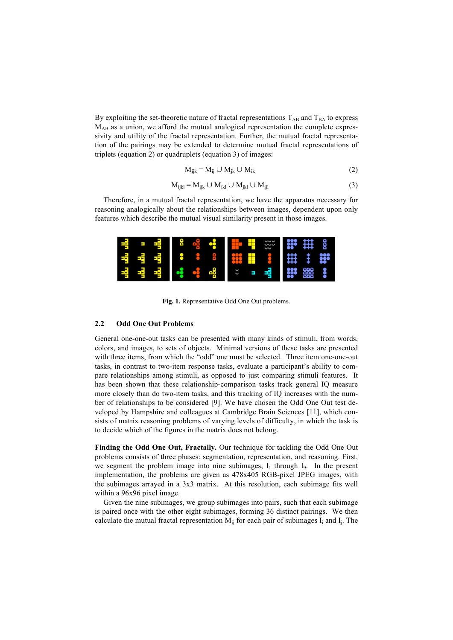By exploiting the set-theoretic nature of fractal representations  $T_{AB}$  and  $T_{BA}$  to express MAB as a union, we afford the mutual analogical representation the complete expressivity and utility of the fractal representation. Further, the mutual fractal representation of the pairings may be extended to determine mutual fractal representations of triplets (equation 2) or quadruplets (equation 3) of images:

$$
M_{ijk} = M_{ij} \cup M_{jk} \cup M_{ik} \tag{2}
$$

$$
M_{ijkl} = M_{ijk} \cup M_{ikl} \cup M_{jkl} \cup M_{ijl}
$$
 (3)

Therefore, in a mutual fractal representation, we have the apparatus necessary for reasoning analogically about the relationships between images, dependent upon only features which describe the mutual visual similarity present in those images.

|  | - 국 - 국 8 - 8 - 8 - 2 - HD - HD |  |  |                                                                          | 33 # 8 |  |
|--|---------------------------------|--|--|--------------------------------------------------------------------------|--------|--|
|  |                                 |  |  |                                                                          |        |  |
|  |                                 |  |  | $\frac{1}{2}$ and $\frac{1}{2}$ and $\frac{1}{2}$ are also $\frac{1}{2}$ |        |  |

**Fig. 1.** Representative Odd One Out problems.

#### **2.2 Odd One Out Problems**

General one-one-out tasks can be presented with many kinds of stimuli, from words, colors, and images, to sets of objects. Minimal versions of these tasks are presented with three items, from which the "odd" one must be selected. Three item one-one-out tasks, in contrast to two-item response tasks, evaluate a participant's ability to compare relationships among stimuli, as opposed to just comparing stimuli features. It has been shown that these relationship-comparison tasks track general IQ measure more closely than do two-item tasks, and this tracking of IQ increases with the number of relationships to be considered [9]. We have chosen the Odd One Out test developed by Hampshire and colleagues at Cambridge Brain Sciences [11], which consists of matrix reasoning problems of varying levels of difficulty, in which the task is to decide which of the figures in the matrix does not belong.

**Finding the Odd One Out, Fractally.** Our technique for tackling the Odd One Out problems consists of three phases: segmentation, representation, and reasoning. First, we segment the problem image into nine subimages,  $I_1$  through  $I_9$ . In the present implementation, the problems are given as 478x405 RGB-pixel JPEG images, with the subimages arrayed in a 3x3 matrix. At this resolution, each subimage fits well within a 96x96 pixel image.

Given the nine subimages, we group subimages into pairs, such that each subimage is paired once with the other eight subimages, forming 36 distinct pairings. We then calculate the mutual fractal representation  $M_{ii}$  for each pair of subimages  $I_i$  and  $I_j$ . The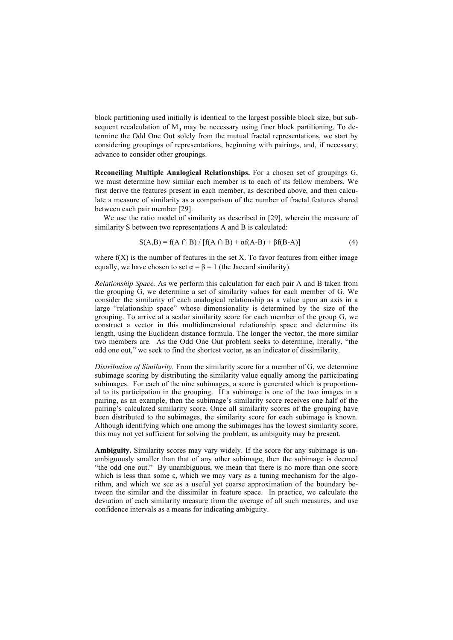block partitioning used initially is identical to the largest possible block size, but subsequent recalculation of  $M_{ii}$  may be necessary using finer block partitioning. To determine the Odd One Out solely from the mutual fractal representations, we start by considering groupings of representations, beginning with pairings, and, if necessary, advance to consider other groupings.

**Reconciling Multiple Analogical Relationships.** For a chosen set of groupings G, we must determine how similar each member is to each of its fellow members. We first derive the features present in each member, as described above, and then calculate a measure of similarity as a comparison of the number of fractal features shared between each pair member [29].

We use the ratio model of similarity as described in [29], wherein the measure of similarity S between two representations A and B is calculated:

$$
S(A,B) = f(A \cap B) / [f(A \cap B) + \alpha f(A-B) + \beta f(B-A)] \tag{4}
$$

where  $f(X)$  is the number of features in the set X. To favor features from either image equally, we have chosen to set  $\alpha = \beta = 1$  (the Jaccard similarity).

*Relationship Space.* As we perform this calculation for each pair A and B taken from the grouping G, we determine a set of similarity values for each member of G. We consider the similarity of each analogical relationship as a value upon an axis in a large "relationship space" whose dimensionality is determined by the size of the grouping. To arrive at a scalar similarity score for each member of the group G, we construct a vector in this multidimensional relationship space and determine its length, using the Euclidean distance formula. The longer the vector, the more similar two members are. As the Odd One Out problem seeks to determine, literally, "the odd one out," we seek to find the shortest vector, as an indicator of dissimilarity.

*Distribution of Similarity.* From the similarity score for a member of G, we determine subimage scoring by distributing the similarity value equally among the participating subimages. For each of the nine subimages, a score is generated which is proportional to its participation in the grouping. If a subimage is one of the two images in a pairing, as an example, then the subimage's similarity score receives one half of the pairing's calculated similarity score. Once all similarity scores of the grouping have been distributed to the subimages, the similarity score for each subimage is known. Although identifying which one among the subimages has the lowest similarity score, this may not yet sufficient for solving the problem, as ambiguity may be present.

**Ambiguity.** Similarity scores may vary widely. If the score for any subimage is unambiguously smaller than that of any other subimage, then the subimage is deemed "the odd one out." By unambiguous, we mean that there is no more than one score which is less than some  $\varepsilon$ , which we may vary as a tuning mechanism for the algorithm, and which we see as a useful yet coarse approximation of the boundary between the similar and the dissimilar in feature space. In practice, we calculate the deviation of each similarity measure from the average of all such measures, and use confidence intervals as a means for indicating ambiguity.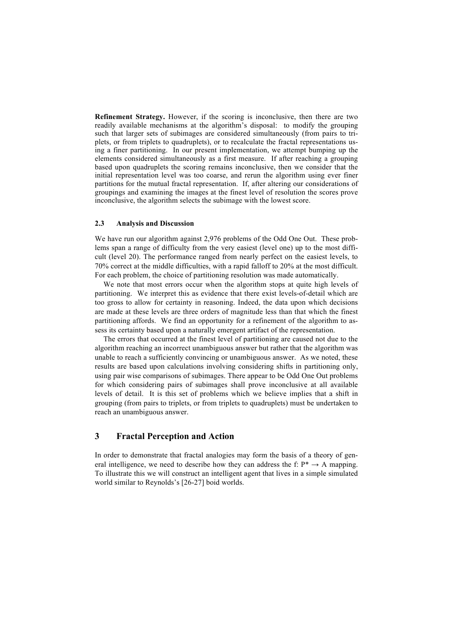**Refinement Strategy.** However, if the scoring is inconclusive, then there are two readily available mechanisms at the algorithm's disposal: to modify the grouping such that larger sets of subimages are considered simultaneously (from pairs to triplets, or from triplets to quadruplets), or to recalculate the fractal representations using a finer partitioning. In our present implementation, we attempt bumping up the elements considered simultaneously as a first measure. If after reaching a grouping based upon quadruplets the scoring remains inconclusive, then we consider that the initial representation level was too coarse, and rerun the algorithm using ever finer partitions for the mutual fractal representation. If, after altering our considerations of groupings and examining the images at the finest level of resolution the scores prove inconclusive, the algorithm selects the subimage with the lowest score.

#### **2.3 Analysis and Discussion**

We have run our algorithm against 2,976 problems of the Odd One Out. These problems span a range of difficulty from the very easiest (level one) up to the most difficult (level 20). The performance ranged from nearly perfect on the easiest levels, to 70% correct at the middle difficulties, with a rapid falloff to 20% at the most difficult. For each problem, the choice of partitioning resolution was made automatically.

We note that most errors occur when the algorithm stops at quite high levels of partitioning. We interpret this as evidence that there exist levels-of-detail which are too gross to allow for certainty in reasoning. Indeed, the data upon which decisions are made at these levels are three orders of magnitude less than that which the finest partitioning affords. We find an opportunity for a refinement of the algorithm to assess its certainty based upon a naturally emergent artifact of the representation.

The errors that occurred at the finest level of partitioning are caused not due to the algorithm reaching an incorrect unambiguous answer but rather that the algorithm was unable to reach a sufficiently convincing or unambiguous answer. As we noted, these results are based upon calculations involving considering shifts in partitioning only, using pair wise comparisons of subimages. There appear to be Odd One Out problems for which considering pairs of subimages shall prove inconclusive at all available levels of detail. It is this set of problems which we believe implies that a shift in grouping (from pairs to triplets, or from triplets to quadruplets) must be undertaken to reach an unambiguous answer.

## **3 Fractal Perception and Action**

In order to demonstrate that fractal analogies may form the basis of a theory of general intelligence, we need to describe how they can address the f:  $P^* \rightarrow A$  mapping. To illustrate this we will construct an intelligent agent that lives in a simple simulated world similar to Reynolds's [26-27] boid worlds.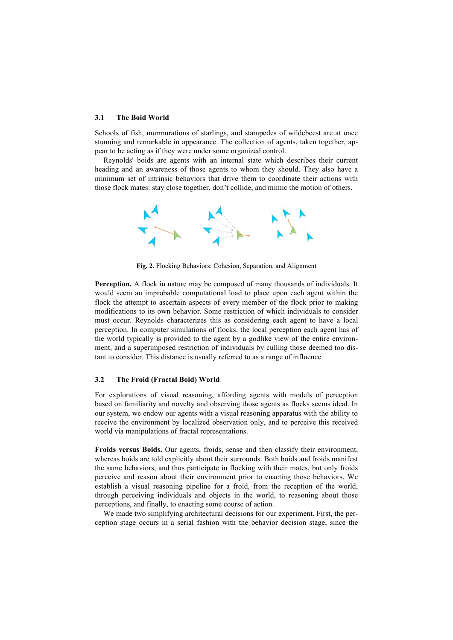#### **3.1 The Boid World**

Schools of fish, murmurations of starlings, and stampedes of wildebeest are at once stunning and remarkable in appearance. The collection of agents, taken together, appear to be acting as if they were under some organized control.

Reynolds' boids are agents with an internal state which describes their current heading and an awareness of those agents to whom they should. They also have a minimum set of intrinsic behaviors that drive them to coordinate their actions with those flock mates: stay close together, don't collide, and mimic the motion of others.



**Fig. 2.** Flocking Behaviors: Cohesion, Separation, and Alignment

**Perception.** A flock in nature may be composed of many thousands of individuals. It would seem an improbable computational load to place upon each agent within the flock the attempt to ascertain aspects of every member of the flock prior to making modifications to its own behavior. Some restriction of which individuals to consider must occur. Reynolds characterizes this as considering each agent to have a local perception. In computer simulations of flocks, the local perception each agent has of the world typically is provided to the agent by a godlike view of the entire environment, and a superimposed restriction of individuals by culling those deemed too distant to consider. This distance is usually referred to as a range of influence.

#### **3.2 The Froid (Fractal Boid) World**

For explorations of visual reasoning, affording agents with models of perception based on familiarity and novelty and observing those agents as flocks seems ideal. In our system, we endow our agents with a visual reasoning apparatus with the ability to receive the environment by localized observation only, and to perceive this received world via manipulations of fractal representations.

**Froids versus Boids.** Our agents, froids, sense and then classify their environment, whereas boids are told explicitly about their surrounds. Both boids and froids manifest the same behaviors, and thus participate in flocking with their mates, but only froids perceive and reason about their environment prior to enacting those behaviors. We establish a visual reasoning pipeline for a froid, from the reception of the world, through perceiving individuals and objects in the world, to reasoning about those perceptions, and finally, to enacting some course of action.

We made two simplifying architectural decisions for our experiment. First, the perception stage occurs in a serial fashion with the behavior decision stage, since the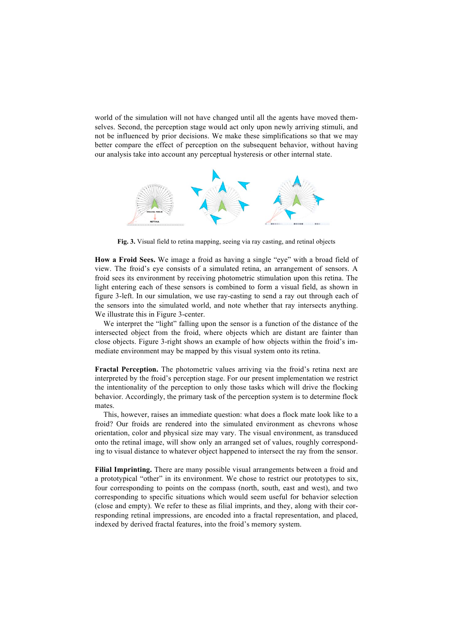world of the simulation will not have changed until all the agents have moved themselves. Second, the perception stage would act only upon newly arriving stimuli, and not be influenced by prior decisions. We make these simplifications so that we may better compare the effect of perception on the subsequent behavior, without having our analysis take into account any perceptual hysteresis or other internal state.



**Fig. 3.** Visual field to retina mapping, seeing via ray casting, and retinal objects

**How a Froid Sees.** We image a froid as having a single "eye" with a broad field of view. The froid's eye consists of a simulated retina, an arrangement of sensors. A froid sees its environment by receiving photometric stimulation upon this retina. The light entering each of these sensors is combined to form a visual field, as shown in figure 3-left. In our simulation, we use ray-casting to send a ray out through each of the sensors into the simulated world, and note whether that ray intersects anything. We illustrate this in Figure 3-center.

We interpret the "light" falling upon the sensor is a function of the distance of the intersected object from the froid, where objects which are distant are fainter than close objects. Figure 3-right shows an example of how objects within the froid's immediate environment may be mapped by this visual system onto its retina.

**Fractal Perception.** The photometric values arriving via the froid's retina next are interpreted by the froid's perception stage. For our present implementation we restrict the intentionality of the perception to only those tasks which will drive the flocking behavior. Accordingly, the primary task of the perception system is to determine flock mates.

This, however, raises an immediate question: what does a flock mate look like to a froid? Our froids are rendered into the simulated environment as chevrons whose orientation, color and physical size may vary. The visual environment, as transduced onto the retinal image, will show only an arranged set of values, roughly corresponding to visual distance to whatever object happened to intersect the ray from the sensor.

**Filial Imprinting.** There are many possible visual arrangements between a froid and a prototypical "other" in its environment. We chose to restrict our prototypes to six, four corresponding to points on the compass (north, south, east and west), and two corresponding to specific situations which would seem useful for behavior selection (close and empty). We refer to these as filial imprints, and they, along with their corresponding retinal impressions, are encoded into a fractal representation, and placed, indexed by derived fractal features, into the froid's memory system.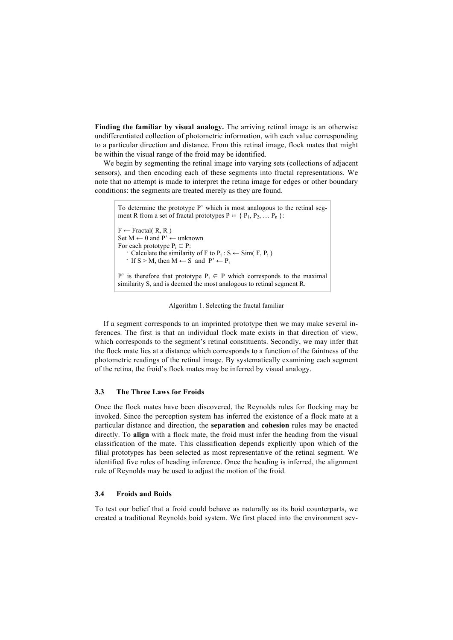**Finding the familiar by visual analogy.** The arriving retinal image is an otherwise undifferentiated collection of photometric information, with each value corresponding to a particular direction and distance. From this retinal image, flock mates that might be within the visual range of the froid may be identified.

We begin by segmenting the retinal image into varying sets (collections of adjacent sensors), and then encoding each of these segments into fractal representations. We note that no attempt is made to interpret the retina image for edges or other boundary conditions: the segments are treated merely as they are found.

```
To determine the prototype P' which is most analogous to the retinal seg-
ment R from a set of fractal prototypes P = \{P_1, P_2, \dots P_n\}:
F \leftarrow Fractal(R, R)
Set M \leftarrow 0 and P' \leftarrow unknown
For each prototype P_i \in P:
     Calculate the similarity of F to P<sub>i</sub>: S \leftarrow Sim(F, P_i)\cdot If S > M, then M \leftarrow S and P'\leftarrow P<sub>i</sub>
P' is therefore that prototype P_i \in P which corresponds to the maximal
similarity S, and is deemed the most analogous to retinal segment R.
```
Algorithm 1. Selecting the fractal familiar

If a segment corresponds to an imprinted prototype then we may make several inferences. The first is that an individual flock mate exists in that direction of view, which corresponds to the segment's retinal constituents. Secondly, we may infer that the flock mate lies at a distance which corresponds to a function of the faintness of the photometric readings of the retinal image. By systematically examining each segment of the retina, the froid's flock mates may be inferred by visual analogy.

#### **3.3 The Three Laws for Froids**

Once the flock mates have been discovered, the Reynolds rules for flocking may be invoked. Since the perception system has inferred the existence of a flock mate at a particular distance and direction, the **separation** and **cohesion** rules may be enacted directly. To **align** with a flock mate, the froid must infer the heading from the visual classification of the mate. This classification depends explicitly upon which of the filial prototypes has been selected as most representative of the retinal segment. We identified five rules of heading inference. Once the heading is inferred, the alignment rule of Reynolds may be used to adjust the motion of the froid.

#### **3.4 Froids and Boids**

To test our belief that a froid could behave as naturally as its boid counterparts, we created a traditional Reynolds boid system. We first placed into the environment sev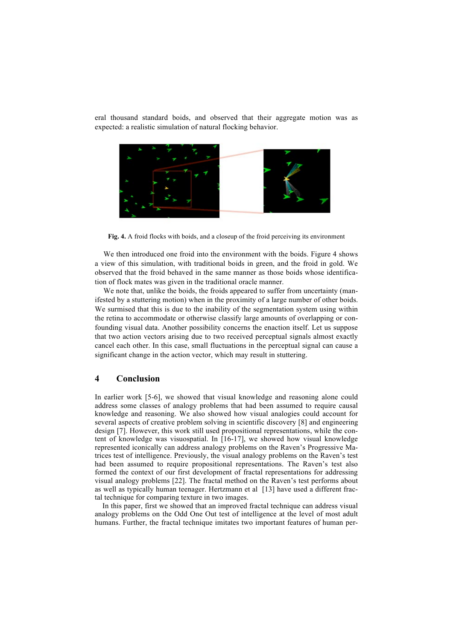eral thousand standard boids, and observed that their aggregate motion was as expected: a realistic simulation of natural flocking behavior.



**Fig. 4.** A froid flocks with boids, and a closeup of the froid perceiving its environment

We then introduced one froid into the environment with the boids. Figure 4 shows a view of this simulation, with traditional boids in green, and the froid in gold. We observed that the froid behaved in the same manner as those boids whose identification of flock mates was given in the traditional oracle manner.

We note that, unlike the boids, the froids appeared to suffer from uncertainty (manifested by a stuttering motion) when in the proximity of a large number of other boids. We surmised that this is due to the inability of the segmentation system using within the retina to accommodate or otherwise classify large amounts of overlapping or confounding visual data. Another possibility concerns the enaction itself. Let us suppose that two action vectors arising due to two received perceptual signals almost exactly cancel each other. In this case, small fluctuations in the perceptual signal can cause a significant change in the action vector, which may result in stuttering.

## **4 Conclusion**

In earlier work [5-6], we showed that visual knowledge and reasoning alone could address some classes of analogy problems that had been assumed to require causal knowledge and reasoning. We also showed how visual analogies could account for several aspects of creative problem solving in scientific discovery [8] and engineering design [7]. However, this work still used propositional representations, while the content of knowledge was visuospatial. In [16-17], we showed how visual knowledge represented iconically can address analogy problems on the Raven's Progressive Matrices test of intelligence. Previously, the visual analogy problems on the Raven's test had been assumed to require propositional representations. The Raven's test also formed the context of our first development of fractal representations for addressing visual analogy problems [22]. The fractal method on the Raven's test performs about as well as typically human teenager. Hertzmann et al [13] have used a different fractal technique for comparing texture in two images.

In this paper, first we showed that an improved fractal technique can address visual analogy problems on the Odd One Out test of intelligence at the level of most adult humans. Further, the fractal technique imitates two important features of human per-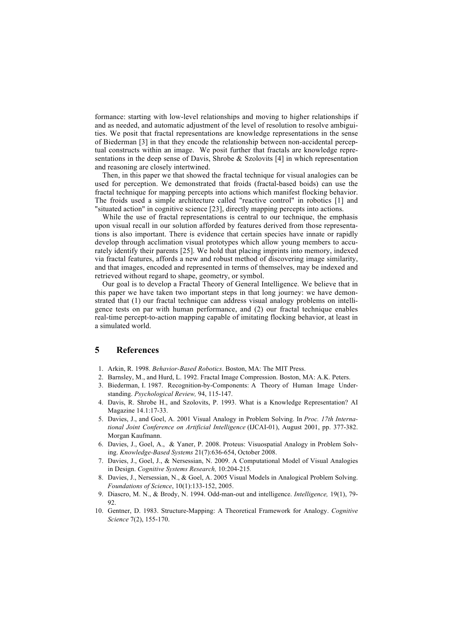formance: starting with low-level relationships and moving to higher relationships if and as needed, and automatic adjustment of the level of resolution to resolve ambiguities. We posit that fractal representations are knowledge representations in the sense of Biederman [3] in that they encode the relationship between non-accidental perceptual constructs within an image. We posit further that fractals are knowledge representations in the deep sense of Davis, Shrobe & Szolovits [4] in which representation and reasoning are closely intertwined.

Then, in this paper we that showed the fractal technique for visual analogies can be used for perception. We demonstrated that froids (fractal-based boids) can use the fractal technique for mapping percepts into actions which manifest flocking behavior. The froids used a simple architecture called "reactive control" in robotics [1] and "situated action" in cognitive science [23], directly mapping percepts into actions.

While the use of fractal representations is central to our technique, the emphasis upon visual recall in our solution afforded by features derived from those representations is also important. There is evidence that certain species have innate or rapidly develop through acclimation visual prototypes which allow young members to accurately identify their parents [25]. We hold that placing imprints into memory, indexed via fractal features, affords a new and robust method of discovering image similarity, and that images, encoded and represented in terms of themselves, may be indexed and retrieved without regard to shape, geometry, or symbol.

Our goal is to develop a Fractal Theory of General Intelligence. We believe that in this paper we have taken two important steps in that long journey: we have demonstrated that (1) our fractal technique can address visual analogy problems on intelligence tests on par with human performance, and (2) our fractal technique enables real-time percept-to-action mapping capable of imitating flocking behavior, at least in a simulated world.

### **5 References**

- 1. Arkin, R. 1998. *Behavior-Based Robotics*. Boston, MA: The MIT Press.
- 2. Barnsley, M., and Hurd, L. 1992. Fractal Image Compression. Boston, MA: A.K. Peters.
- 3. Biederman, I. 1987. Recognition-by-Components: A Theory of Human Image Understanding. *Psychological Review,* 94, 115-147.
- 4. Davis, R. Shrobe H., and Szolovits, P. 1993. What is a Knowledge Representation? AI Magazine 14.1:17-33.
- 5. Davies, J., and Goel, A. 2001 Visual Analogy in Problem Solving. In *Proc. 17th International Joint Conference on Artificial Intelligence* (IJCAI-01), August 2001, pp. 377-382. Morgan Kaufmann.
- 6. Davies, J., Goel, A., & Yaner, P. 2008. Proteus: Visuospatial Analogy in Problem Solving. *Knowledge-Based Systems* 21(7):636-654, October 2008.
- 7. Davies, J., Goel, J., & Nersessian, N. 2009. A Computational Model of Visual Analogies in Design. *Cognitive Systems Research,* 10:204-215*.*
- 8. Davies, J., Nersessian, N., & Goel, A. 2005 Visual Models in Analogical Problem Solving. *Foundations of Science*, 10(1):133-152, 2005.
- 9. Diascro, M. N., & Brody, N. 1994. Odd-man-out and intelligence. *Intelligence,* 19(1), 79- 92.
- 10. Gentner, D. 1983. Structure-Mapping: A Theoretical Framework for Analogy. *Cognitive Science* 7(2), 155-170.